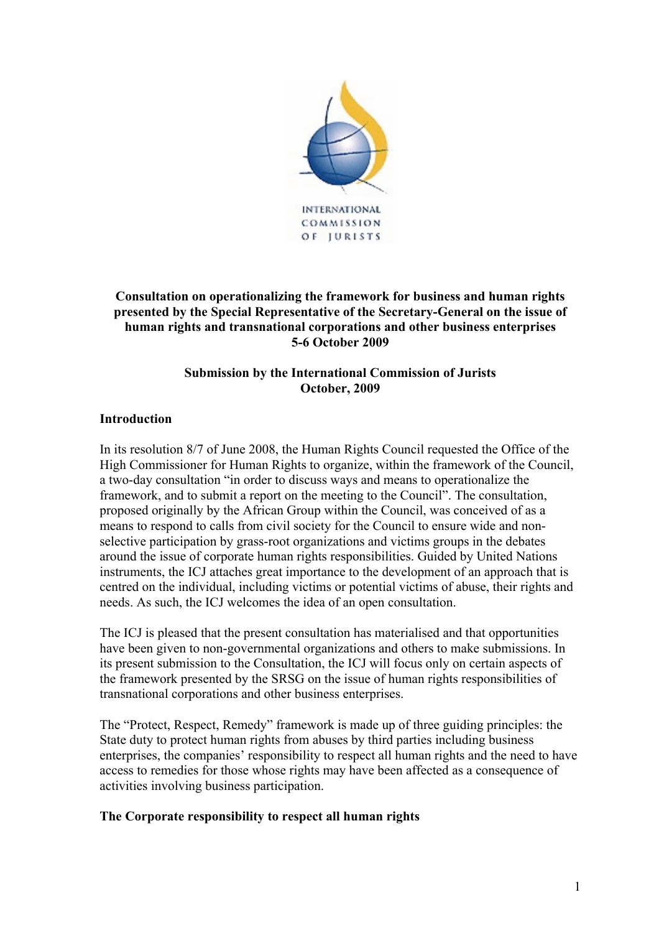

## **Consultation on operationalizing the framework for business and human rights presented by the Special Representative of the Secretary-General on the issue of human rights and transnational corporations and other business enterprises 5-6 October 2009**

# **Submission by the International Commission of Jurists October, 2009**

## **Introduction**

In its resolution 8/7 of June 2008, the Human Rights Council requested the Office of the High Commissioner for Human Rights to organize, within the framework of the Council, a two-day consultation "in order to discuss ways and means to operationalize the framework, and to submit a report on the meeting to the Council". The consultation, proposed originally by the African Group within the Council, was conceived of as a means to respond to calls from civil society for the Council to ensure wide and nonselective participation by grass-root organizations and victims groups in the debates around the issue of corporate human rights responsibilities. Guided by United Nations instruments, the ICJ attaches great importance to the development of an approach that is centred on the individual, including victims or potential victims of abuse, their rights and needs. As such, the ICJ welcomes the idea of an open consultation.

The ICJ is pleased that the present consultation has materialised and that opportunities have been given to non-governmental organizations and others to make submissions. In its present submission to the Consultation, the ICJ will focus only on certain aspects of the framework presented by the SRSG on the issue of human rights responsibilities of transnational corporations and other business enterprises.

The "Protect, Respect, Remedy" framework is made up of three guiding principles: the State duty to protect human rights from abuses by third parties including business enterprises, the companies' responsibility to respect all human rights and the need to have access to remedies for those whose rights may have been affected as a consequence of activities involving business participation.

## **The Corporate responsibility to respect all human rights**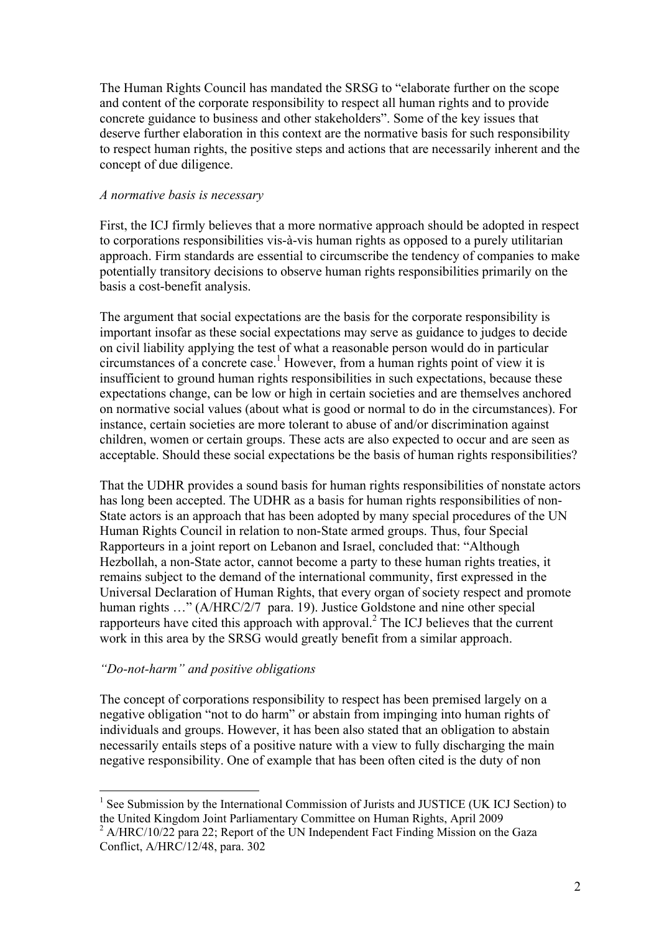The Human Rights Council has mandated the SRSG to "elaborate further on the scope and content of the corporate responsibility to respect all human rights and to provide concrete guidance to business and other stakeholders". Some of the key issues that deserve further elaboration in this context are the normative basis for such responsibility to respect human rights, the positive steps and actions that are necessarily inherent and the concept of due diligence.

### *A normative basis is necessary*

First, the ICJ firmly believes that a more normative approach should be adopted in respect to corporations responsibilities vis-à-vis human rights as opposed to a purely utilitarian approach. Firm standards are essential to circumscribe the tendency of companies to make potentially transitory decisions to observe human rights responsibilities primarily on the basis a cost-benefit analysis.

The argument that social expectations are the basis for the corporate responsibility is important insofar as these social expectations may serve as guidance to judges to decide on civil liability applying the test of what a reasonable person would do in particular circumstances of a concrete case. 1 However, from a human rights point of view it is insufficient to ground human rights responsibilities in such expectations, because these expectations change, can be low or high in certain societies and are themselves anchored on normative social values (about what is good or normal to do in the circumstances). For instance, certain societies are more tolerant to abuse of and/or discrimination against children, women or certain groups. These acts are also expected to occur and are seen as acceptable. Should these social expectations be the basis of human rights responsibilities?

That the UDHR provides a sound basis for human rights responsibilities of nonstate actors has long been accepted. The UDHR as a basis for human rights responsibilities of non-State actors is an approach that has been adopted by many special procedures of the UN Human Rights Council in relation to non-State armed groups. Thus, four Special Rapporteurs in a joint report on Lebanon and Israel, concluded that: "Although Hezbollah, a non-State actor, cannot become a party to these human rights treaties, it remains subject to the demand of the international community, first expressed in the Universal Declaration of Human Rights, that every organ of society respect and promote human rights ..." (A/HRC/2/7 para. 19). Justice Goldstone and nine other special rapporteurs have cited this approach with approval.2 The ICJ believes that the current work in this area by the SRSG would greatly benefit from a similar approach.

## *"Do-not-harm" and positive obligations*

The concept of corporations responsibility to respect has been premised largely on a negative obligation "not to do harm" or abstain from impinging into human rights of individuals and groups. However, it has been also stated that an obligation to abstain necessarily entails steps of a positive nature with a view to fully discharging the main negative responsibility. One of example that has been often cited is the duty of non

 $\frac{1}{1}$  See Submission by the International Commission of Jurists and JUSTICE (UK ICJ Section) to the United Kingdom Joint Parliamentary Committee on Human Rights, April 2009

 $^{2}$  A/HRC/10/22 para 22; Report of the UN Independent Fact Finding Mission on the Gaza Conflict, A/HRC/12/48, para. 302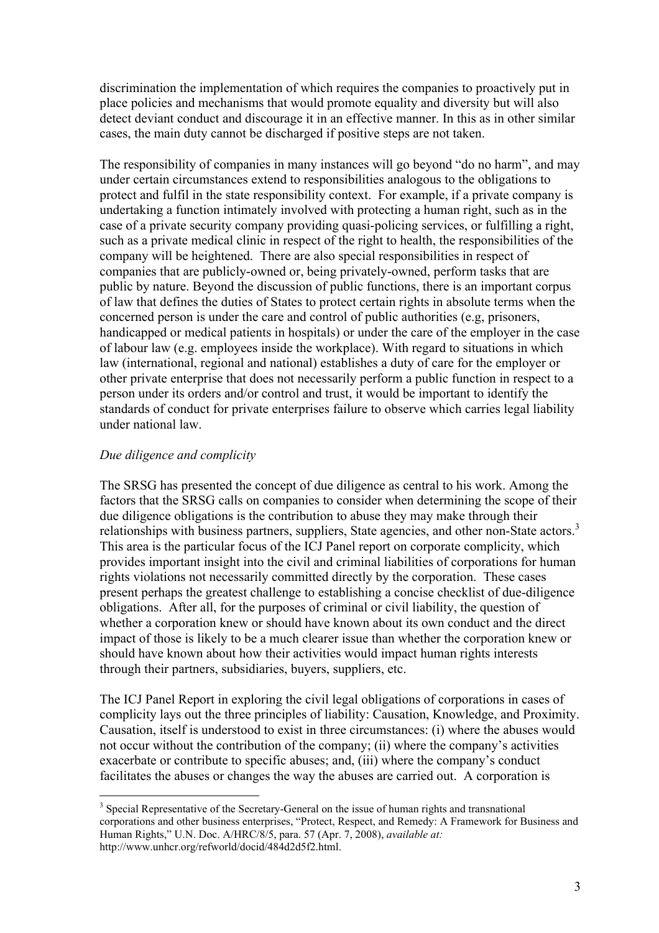discrimination the implementation of which requires the companies to proactively put in place policies and mechanisms that would promote equality and diversity but will also detect deviant conduct and discourage it in an effective manner. In this as in other similar cases, the main duty cannot be discharged if positive steps are not taken.

The responsibility of companies in many instances will go beyond "do no harm", and may under certain circumstances extend to responsibilities analogous to the obligations to protect and fulfil in the state responsibility context. For example, if a private company is undertaking a function intimately involved with protecting a human right, such as in the case of a private security company providing quasi-policing services, or fulfilling a right, such as a private medical clinic in respect of the right to health, the responsibilities of the company will be heightened. There are also special responsibilities in respect of companies that are publicly-owned or, being privately-owned, perform tasks that are public by nature. Beyond the discussion of public functions, there is an important corpus of law that defines the duties of States to protect certain rights in absolute terms when the concerned person is under the care and control of public authorities (e.g, prisoners, handicapped or medical patients in hospitals) or under the care of the employer in the case of labour law (e.g. employees inside the workplace). With regard to situations in which law (international, regional and national) establishes a duty of care for the employer or other private enterprise that does not necessarily perform a public function in respect to a person under its orders and/or control and trust, it would be important to identify the standards of conduct for private enterprises failure to observe which carries legal liability under national law.

### *Due diligence and complicity*

The SRSG has presented the concept of due diligence as central to his work. Among the factors that the SRSG calls on companies to consider when determining the scope of their due diligence obligations is the contribution to abuse they may make through their relationships with business partners, suppliers, State agencies, and other non-State actors.<sup>3</sup> This area is the particular focus of the ICJ Panel report on corporate complicity, which provides important insight into the civil and criminal liabilities of corporations for human rights violations not necessarily committed directly by the corporation. These cases present perhaps the greatest challenge to establishing a concise checklist of due-diligence obligations. After all, for the purposes of criminal or civil liability, the question of whether a corporation knew or should have known about its own conduct and the direct impact of those is likely to be a much clearer issue than whether the corporation knew or should have known about how their activities would impact human rights interests through their partners, subsidiaries, buyers, suppliers, etc.

The ICJ Panel Report in exploring the civil legal obligations of corporations in cases of complicity lays out the three principles of liability: Causation, Knowledge, and Proximity. Causation, itself is understood to exist in three circumstances: (i) where the abuses would not occur without the contribution of the company; (ii) where the company's activities exacerbate or contribute to specific abuses; and, (iii) where the company's conduct facilitates the abuses or changes the way the abuses are carried out. A corporation is

<sup>&</sup>lt;sup>3</sup> Special Representative of the Secretary-General on the issue of human rights and transnational corporations and other business enterprises, "Protect, Respect, and Remedy: A Framework for Business and Human Rights," U.N. Doc. A/HRC/8/5, para. 57 (Apr. 7, 2008), *available at:*  http://www.unhcr.org/refworld/docid/484d2d5f2.html.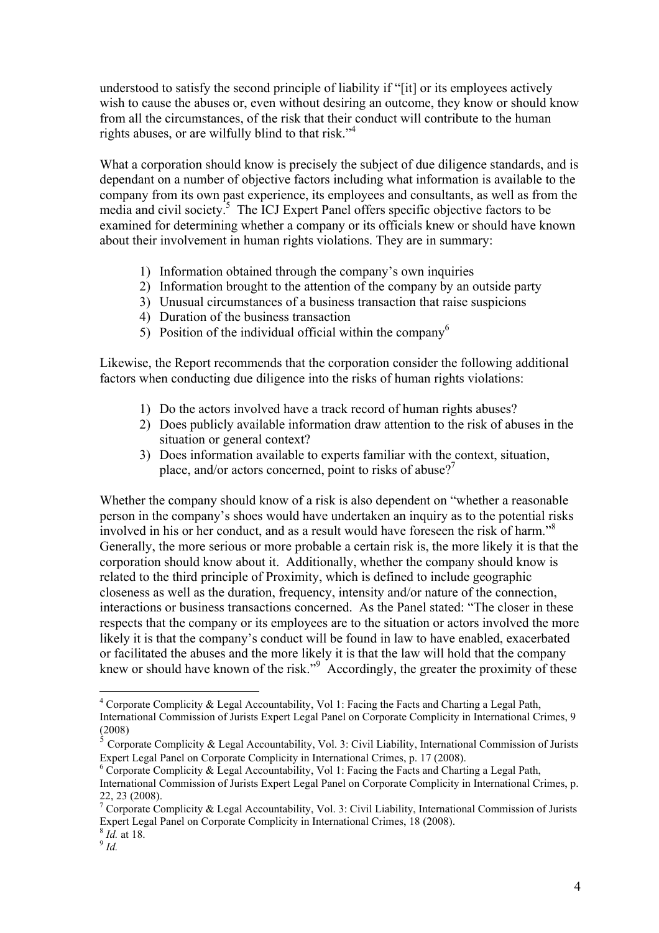understood to satisfy the second principle of liability if "[it] or its employees actively wish to cause the abuses or, even without desiring an outcome, they know or should know from all the circumstances, of the risk that their conduct will contribute to the human rights abuses, or are wilfully blind to that risk."<sup>4</sup>

What a corporation should know is precisely the subject of due diligence standards, and is dependant on a number of objective factors including what information is available to the company from its own past experience, its employees and consultants, as well as from the media and civil society.<sup>5</sup> The ICJ Expert Panel offers specific objective factors to be examined for determining whether a company or its officials knew or should have known about their involvement in human rights violations. They are in summary:

- 1) Information obtained through the company's own inquiries
- 2) Information brought to the attention of the company by an outside party
- 3) Unusual circumstances of a business transaction that raise suspicions
- 4) Duration of the business transaction
- 5) Position of the individual official within the company<sup>6</sup>

Likewise, the Report recommends that the corporation consider the following additional factors when conducting due diligence into the risks of human rights violations:

- 1) Do the actors involved have a track record of human rights abuses?
- 2) Does publicly available information draw attention to the risk of abuses in the situation or general context?
- 3) Does information available to experts familiar with the context, situation, place, and/or actors concerned, point to risks of abuse?<sup>7</sup>

Whether the company should know of a risk is also dependent on "whether a reasonable person in the company's shoes would have undertaken an inquiry as to the potential risks involved in his or her conduct, and as a result would have foreseen the risk of harm."<sup>8</sup> Generally, the more serious or more probable a certain risk is, the more likely it is that the corporation should know about it. Additionally, whether the company should know is related to the third principle of Proximity, which is defined to include geographic closeness as well as the duration, frequency, intensity and/or nature of the connection, interactions or business transactions concerned. As the Panel stated: "The closer in these respects that the company or its employees are to the situation or actors involved the more likely it is that the company's conduct will be found in law to have enabled, exacerbated or facilitated the abuses and the more likely it is that the law will hold that the company knew or should have known of the risk."<sup>9</sup> Accordingly, the greater the proximity of these

 $\frac{1}{4}$ <sup>4</sup> Corporate Complicity & Legal Accountability, Vol 1: Facing the Facts and Charting a Legal Path, International Commission of Jurists Expert Legal Panel on Corporate Complicity in International Crimes, 9  $(2008)$ 

<sup>5</sup> Corporate Complicity & Legal Accountability, Vol. 3: Civil Liability, International Commission of Jurists Expert Legal Panel on Corporate Complicity in International Crimes, p. 17 (2008).

 $6$  Corporate Complicity & Legal Accountability, Vol 1: Facing the Facts and Charting a Legal Path, International Commission of Jurists Expert Legal Panel on Corporate Complicity in International Crimes, p.

<sup>22, 23 (2008).&</sup>lt;br><sup>7</sup> Corporate Complicity & Legal Accountability, Vol. 3: Civil Liability, International Commission of Jurists Expert Legal Panel on Corporate Complicity in International Crimes, 18 (2008). <sup>8</sup> *Id.* at 18. <sup>9</sup> *Id*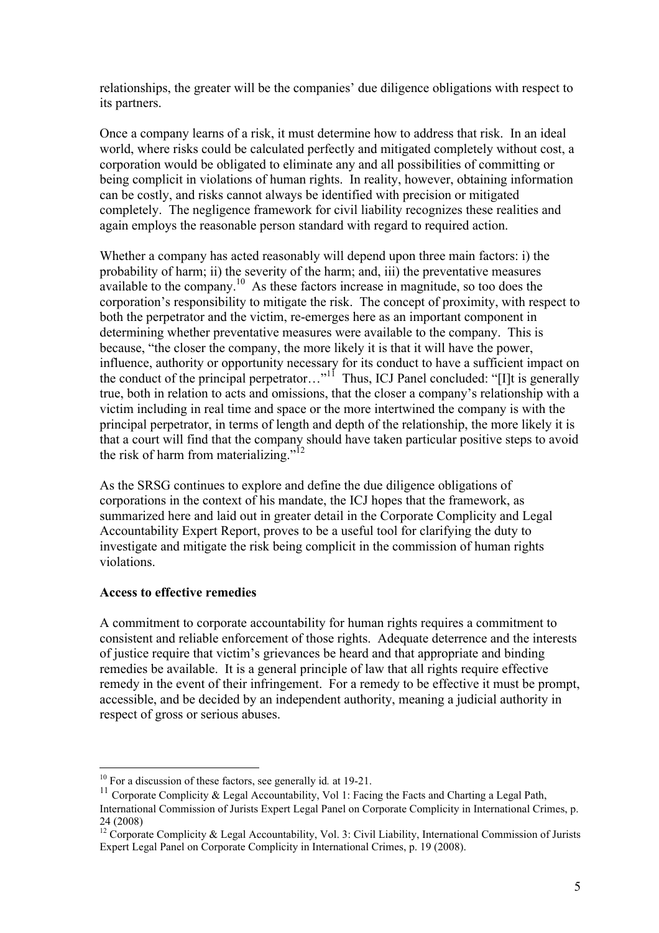relationships, the greater will be the companies' due diligence obligations with respect to its partners.

Once a company learns of a risk, it must determine how to address that risk. In an ideal world, where risks could be calculated perfectly and mitigated completely without cost, a corporation would be obligated to eliminate any and all possibilities of committing or being complicit in violations of human rights. In reality, however, obtaining information can be costly, and risks cannot always be identified with precision or mitigated completely. The negligence framework for civil liability recognizes these realities and again employs the reasonable person standard with regard to required action.

Whether a company has acted reasonably will depend upon three main factors: i) the probability of harm; ii) the severity of the harm; and, iii) the preventative measures available to the company.<sup>10</sup> As these factors increase in magnitude, so too does the corporation's responsibility to mitigate the risk. The concept of proximity, with respect to both the perpetrator and the victim, re-emerges here as an important component in determining whether preventative measures were available to the company. This is because, "the closer the company, the more likely it is that it will have the power, influence, authority or opportunity necessary for its conduct to have a sufficient impact on the conduct of the principal perpetrator…"<sup>11</sup> Thus, ICJ Panel concluded: "[I]t is generally true, both in relation to acts and omissions, that the closer a company's relationship with a victim including in real time and space or the more intertwined the company is with the principal perpetrator, in terms of length and depth of the relationship, the more likely it is that a court will find that the company should have taken particular positive steps to avoid the risk of harm from materializing."<sup>12</sup>

As the SRSG continues to explore and define the due diligence obligations of corporations in the context of his mandate, the ICJ hopes that the framework, as summarized here and laid out in greater detail in the Corporate Complicity and Legal Accountability Expert Report, proves to be a useful tool for clarifying the duty to investigate and mitigate the risk being complicit in the commission of human rights violations.

#### **Access to effective remedies**

A commitment to corporate accountability for human rights requires a commitment to consistent and reliable enforcement of those rights. Adequate deterrence and the interests of justice require that victim's grievances be heard and that appropriate and binding remedies be available. It is a general principle of law that all rights require effective remedy in the event of their infringement. For a remedy to be effective it must be prompt, accessible, and be decided by an independent authority, meaning a judicial authority in respect of gross or serious abuses.

<sup>&</sup>lt;sup>10</sup> For a discussion of these factors, see generally id. at 19-21.<br><sup>11</sup> Corporate Complicity & Legal Accountability, Vol 1: Facing the Facts and Charting a Legal Path, International Commission of Jurists Expert Legal Panel on Corporate Complicity in International Crimes, p.

<sup>24 (2008)</sup> <sup>12</sup> Corporate Complicity & Legal Accountability, Vol. 3: Civil Liability, International Commission of Jurists Expert Legal Panel on Corporate Complicity in International Crimes, p. 19 (2008).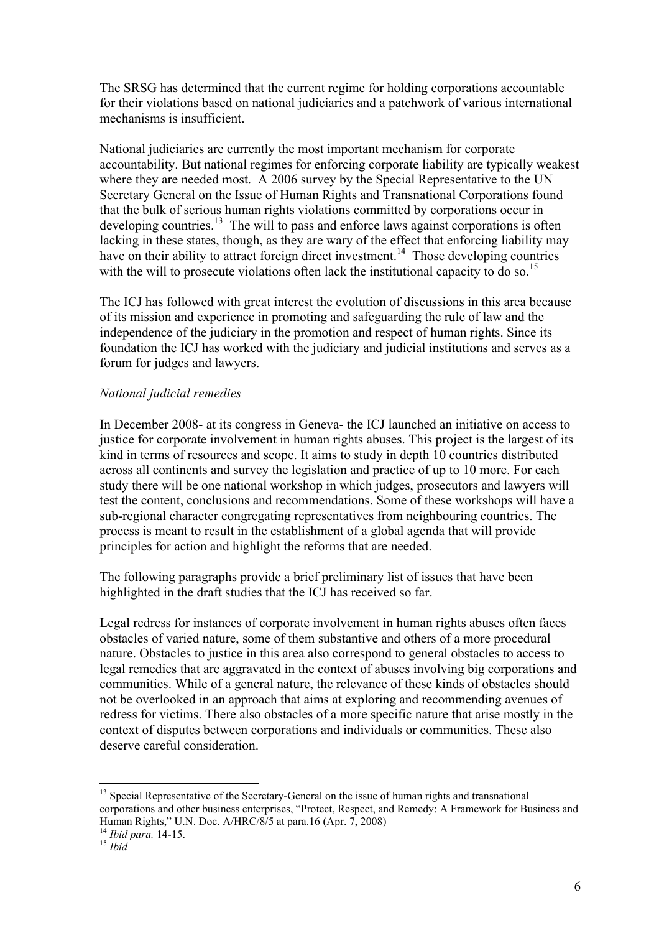The SRSG has determined that the current regime for holding corporations accountable for their violations based on national judiciaries and a patchwork of various international mechanisms is insufficient.

National judiciaries are currently the most important mechanism for corporate accountability. But national regimes for enforcing corporate liability are typically weakest where they are needed most. A 2006 survey by the Special Representative to the UN Secretary General on the Issue of Human Rights and Transnational Corporations found that the bulk of serious human rights violations committed by corporations occur in developing countries.<sup>13</sup> The will to pass and enforce laws against corporations is often lacking in these states, though, as they are wary of the effect that enforcing liability may have on their ability to attract foreign direct investment.<sup>14</sup> Those developing countries with the will to prosecute violations often lack the institutional capacity to do so.<sup>15</sup>

The ICJ has followed with great interest the evolution of discussions in this area because of its mission and experience in promoting and safeguarding the rule of law and the independence of the judiciary in the promotion and respect of human rights. Since its foundation the ICJ has worked with the judiciary and judicial institutions and serves as a forum for judges and lawyers.

#### *National judicial remedies*

In December 2008- at its congress in Geneva- the ICJ launched an initiative on access to justice for corporate involvement in human rights abuses. This project is the largest of its kind in terms of resources and scope. It aims to study in depth 10 countries distributed across all continents and survey the legislation and practice of up to 10 more. For each study there will be one national workshop in which judges, prosecutors and lawyers will test the content, conclusions and recommendations. Some of these workshops will have a sub-regional character congregating representatives from neighbouring countries. The process is meant to result in the establishment of a global agenda that will provide principles for action and highlight the reforms that are needed.

The following paragraphs provide a brief preliminary list of issues that have been highlighted in the draft studies that the ICJ has received so far.

Legal redress for instances of corporate involvement in human rights abuses often faces obstacles of varied nature, some of them substantive and others of a more procedural nature. Obstacles to justice in this area also correspond to general obstacles to access to legal remedies that are aggravated in the context of abuses involving big corporations and communities. While of a general nature, the relevance of these kinds of obstacles should not be overlooked in an approach that aims at exploring and recommending avenues of redress for victims. There also obstacles of a more specific nature that arise mostly in the context of disputes between corporations and individuals or communities. These also deserve careful consideration.

<sup>&</sup>lt;sup>13</sup> Special Representative of the Secretary-General on the issue of human rights and transnational corporations and other business enterprises, "Protect, Respect, and Remedy: A Framework for Business and Human Rights," U.N. Doc. A/HRC/8/5 at para.16 (Apr. 7, 2008) <sup>14</sup> *Ibid para.* 14-15. <sup>15</sup> *Ibid*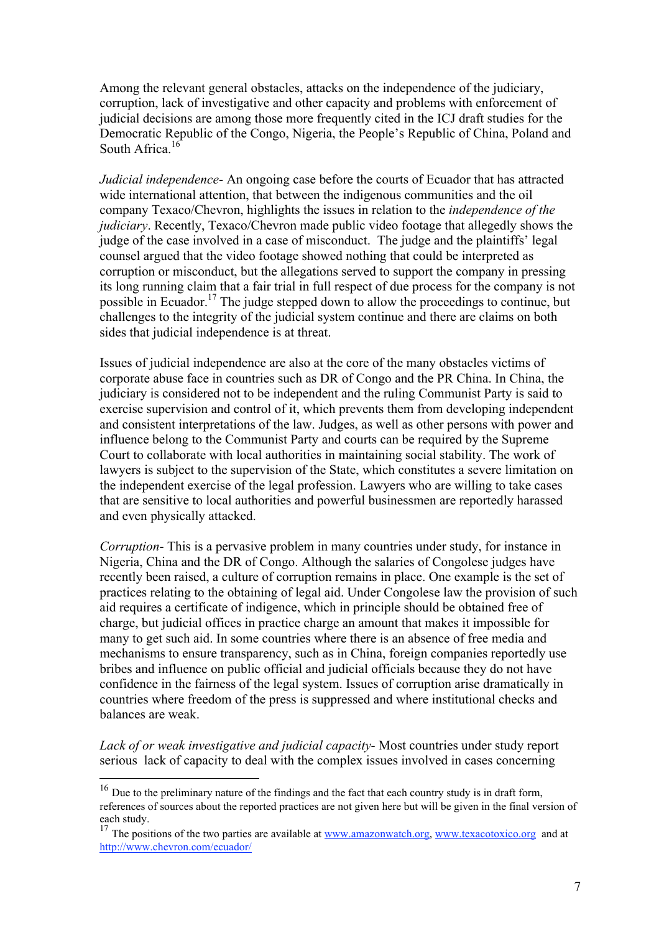Among the relevant general obstacles, attacks on the independence of the judiciary, corruption, lack of investigative and other capacity and problems with enforcement of judicial decisions are among those more frequently cited in the ICJ draft studies for the Democratic Republic of the Congo, Nigeria, the People's Republic of China, Poland and South Africa.<sup>16</sup>

*Judicial independence*- An ongoing case before the courts of Ecuador that has attracted wide international attention, that between the indigenous communities and the oil company Texaco/Chevron, highlights the issues in relation to the *independence of the judiciary*. Recently, Texaco/Chevron made public video footage that allegedly shows the judge of the case involved in a case of misconduct. The judge and the plaintiffs' legal counsel argued that the video footage showed nothing that could be interpreted as corruption or misconduct, but the allegations served to support the company in pressing its long running claim that a fair trial in full respect of due process for the company is not possible in Ecuador.17 The judge stepped down to allow the proceedings to continue, but challenges to the integrity of the judicial system continue and there are claims on both sides that judicial independence is at threat.

Issues of judicial independence are also at the core of the many obstacles victims of corporate abuse face in countries such as DR of Congo and the PR China. In China, the judiciary is considered not to be independent and the ruling Communist Party is said to exercise supervision and control of it, which prevents them from developing independent and consistent interpretations of the law. Judges, as well as other persons with power and influence belong to the Communist Party and courts can be required by the Supreme Court to collaborate with local authorities in maintaining social stability. The work of lawyers is subject to the supervision of the State, which constitutes a severe limitation on the independent exercise of the legal profession. Lawyers who are willing to take cases that are sensitive to local authorities and powerful businessmen are reportedly harassed and even physically attacked.

*Corruption*- This is a pervasive problem in many countries under study, for instance in Nigeria, China and the DR of Congo. Although the salaries of Congolese judges have recently been raised, a culture of corruption remains in place. One example is the set of practices relating to the obtaining of legal aid. Under Congolese law the provision of such aid requires a certificate of indigence, which in principle should be obtained free of charge, but judicial offices in practice charge an amount that makes it impossible for many to get such aid. In some countries where there is an absence of free media and mechanisms to ensure transparency, such as in China, foreign companies reportedly use bribes and influence on public official and judicial officials because they do not have confidence in the fairness of the legal system. Issues of corruption arise dramatically in countries where freedom of the press is suppressed and where institutional checks and balances are weak.

*Lack of or weak investigative and judicial capacity*- Most countries under study report serious lack of capacity to deal with the complex issues involved in cases concerning

<sup>&</sup>lt;sup>16</sup> Due to the preliminary nature of the findings and the fact that each country study is in draft form, references of sources about the reported practices are not given here but will be given in the final version of each study.

<sup>&</sup>lt;sup>17</sup> The positions of the two parties are available at www.amazonwatch.org, www.texacotoxico.org and at http://www.chevron.com/ecuador/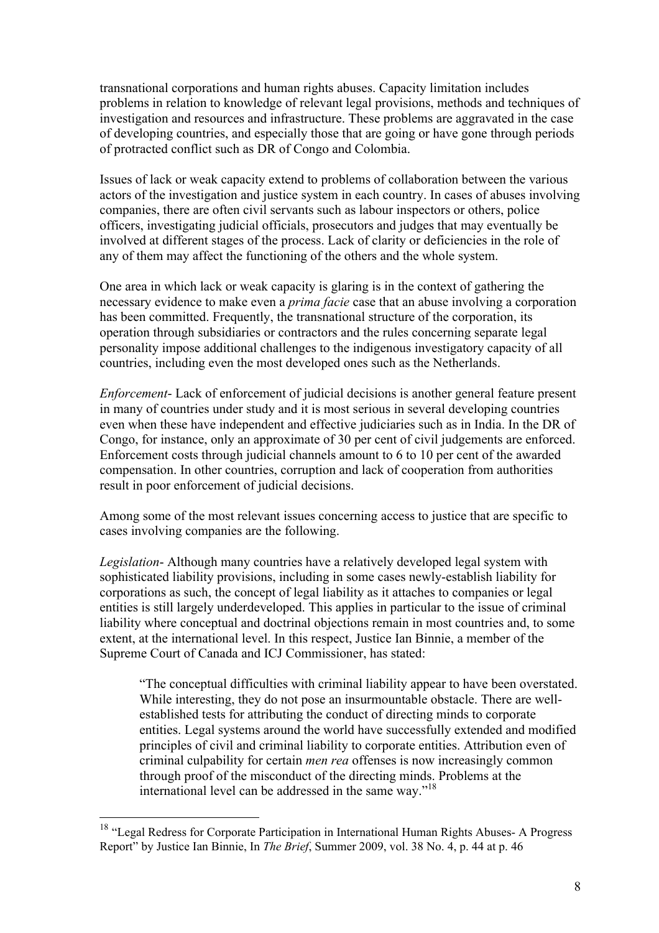transnational corporations and human rights abuses. Capacity limitation includes problems in relation to knowledge of relevant legal provisions, methods and techniques of investigation and resources and infrastructure. These problems are aggravated in the case of developing countries, and especially those that are going or have gone through periods of protracted conflict such as DR of Congo and Colombia.

Issues of lack or weak capacity extend to problems of collaboration between the various actors of the investigation and justice system in each country. In cases of abuses involving companies, there are often civil servants such as labour inspectors or others, police officers, investigating judicial officials, prosecutors and judges that may eventually be involved at different stages of the process. Lack of clarity or deficiencies in the role of any of them may affect the functioning of the others and the whole system.

One area in which lack or weak capacity is glaring is in the context of gathering the necessary evidence to make even a *prima facie* case that an abuse involving a corporation has been committed. Frequently, the transnational structure of the corporation, its operation through subsidiaries or contractors and the rules concerning separate legal personality impose additional challenges to the indigenous investigatory capacity of all countries, including even the most developed ones such as the Netherlands.

*Enforcement*- Lack of enforcement of judicial decisions is another general feature present in many of countries under study and it is most serious in several developing countries even when these have independent and effective judiciaries such as in India. In the DR of Congo, for instance, only an approximate of 30 per cent of civil judgements are enforced. Enforcement costs through judicial channels amount to 6 to 10 per cent of the awarded compensation. In other countries, corruption and lack of cooperation from authorities result in poor enforcement of judicial decisions.

Among some of the most relevant issues concerning access to justice that are specific to cases involving companies are the following.

*Legislation*- Although many countries have a relatively developed legal system with sophisticated liability provisions, including in some cases newly-establish liability for corporations as such, the concept of legal liability as it attaches to companies or legal entities is still largely underdeveloped. This applies in particular to the issue of criminal liability where conceptual and doctrinal objections remain in most countries and, to some extent, at the international level. In this respect, Justice Ian Binnie, a member of the Supreme Court of Canada and ICJ Commissioner, has stated:

"The conceptual difficulties with criminal liability appear to have been overstated. While interesting, they do not pose an insurmountable obstacle. There are wellestablished tests for attributing the conduct of directing minds to corporate entities. Legal systems around the world have successfully extended and modified principles of civil and criminal liability to corporate entities. Attribution even of criminal culpability for certain *men rea* offenses is now increasingly common through proof of the misconduct of the directing minds. Problems at the international level can be addressed in the same way."18

<sup>&</sup>lt;sup>18</sup> "Legal Redress for Corporate Participation in International Human Rights Abuses- A Progress Report" by Justice Ian Binnie, In *The Brief*, Summer 2009, vol. 38 No. 4, p. 44 at p. 46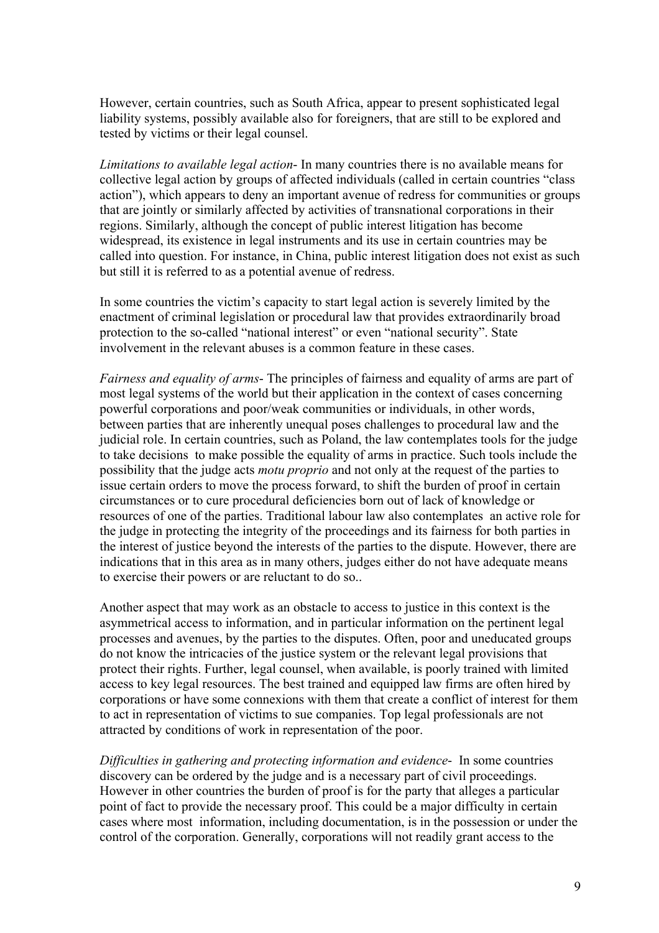However, certain countries, such as South Africa, appear to present sophisticated legal liability systems, possibly available also for foreigners, that are still to be explored and tested by victims or their legal counsel.

*Limitations to available legal action*- In many countries there is no available means for collective legal action by groups of affected individuals (called in certain countries "class action"), which appears to deny an important avenue of redress for communities or groups that are jointly or similarly affected by activities of transnational corporations in their regions. Similarly, although the concept of public interest litigation has become widespread, its existence in legal instruments and its use in certain countries may be called into question. For instance, in China, public interest litigation does not exist as such but still it is referred to as a potential avenue of redress.

In some countries the victim's capacity to start legal action is severely limited by the enactment of criminal legislation or procedural law that provides extraordinarily broad protection to the so-called "national interest" or even "national security". State involvement in the relevant abuses is a common feature in these cases.

*Fairness and equality of arms*- The principles of fairness and equality of arms are part of most legal systems of the world but their application in the context of cases concerning powerful corporations and poor/weak communities or individuals, in other words, between parties that are inherently unequal poses challenges to procedural law and the judicial role. In certain countries, such as Poland, the law contemplates tools for the judge to take decisions to make possible the equality of arms in practice. Such tools include the possibility that the judge acts *motu proprio* and not only at the request of the parties to issue certain orders to move the process forward, to shift the burden of proof in certain circumstances or to cure procedural deficiencies born out of lack of knowledge or resources of one of the parties. Traditional labour law also contemplates an active role for the judge in protecting the integrity of the proceedings and its fairness for both parties in the interest of justice beyond the interests of the parties to the dispute. However, there are indications that in this area as in many others, judges either do not have adequate means to exercise their powers or are reluctant to do so..

Another aspect that may work as an obstacle to access to justice in this context is the asymmetrical access to information, and in particular information on the pertinent legal processes and avenues, by the parties to the disputes. Often, poor and uneducated groups do not know the intricacies of the justice system or the relevant legal provisions that protect their rights. Further, legal counsel, when available, is poorly trained with limited access to key legal resources. The best trained and equipped law firms are often hired by corporations or have some connexions with them that create a conflict of interest for them to act in representation of victims to sue companies. Top legal professionals are not attracted by conditions of work in representation of the poor.

*Difficulties in gathering and protecting information and evidence*- In some countries discovery can be ordered by the judge and is a necessary part of civil proceedings. However in other countries the burden of proof is for the party that alleges a particular point of fact to provide the necessary proof. This could be a major difficulty in certain cases where most information, including documentation, is in the possession or under the control of the corporation. Generally, corporations will not readily grant access to the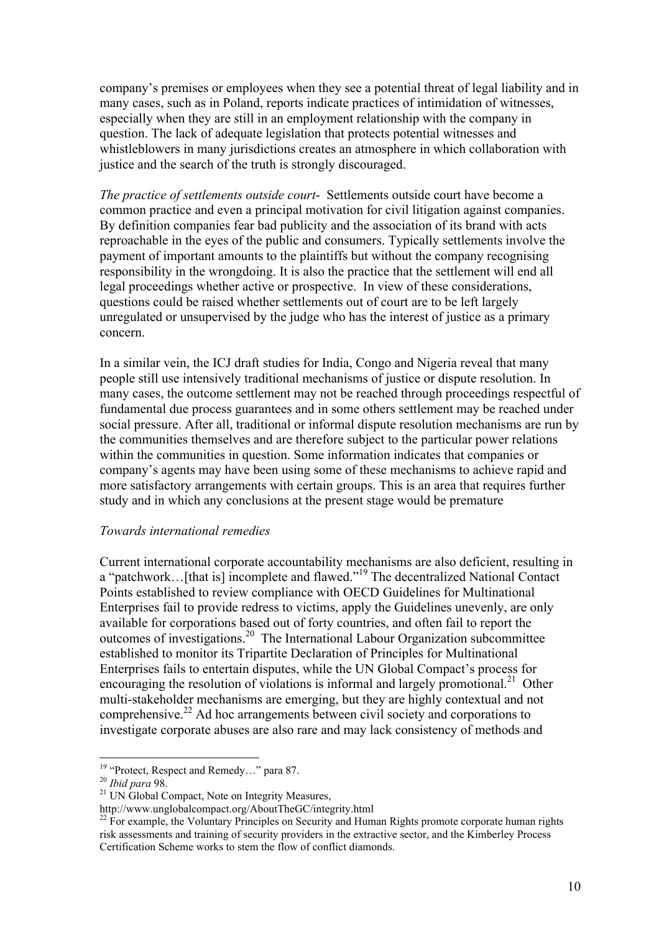company's premises or employees when they see a potential threat of legal liability and in many cases, such as in Poland, reports indicate practices of intimidation of witnesses, especially when they are still in an employment relationship with the company in question. The lack of adequate legislation that protects potential witnesses and whistleblowers in many jurisdictions creates an atmosphere in which collaboration with justice and the search of the truth is strongly discouraged.

*The practice of settlements outside court*- Settlements outside court have become a common practice and even a principal motivation for civil litigation against companies. By definition companies fear bad publicity and the association of its brand with acts reproachable in the eyes of the public and consumers. Typically settlements involve the payment of important amounts to the plaintiffs but without the company recognising responsibility in the wrongdoing. It is also the practice that the settlement will end all legal proceedings whether active or prospective. In view of these considerations, questions could be raised whether settlements out of court are to be left largely unregulated or unsupervised by the judge who has the interest of justice as a primary concern.

In a similar vein, the ICJ draft studies for India, Congo and Nigeria reveal that many people still use intensively traditional mechanisms of justice or dispute resolution. In many cases, the outcome settlement may not be reached through proceedings respectful of fundamental due process guarantees and in some others settlement may be reached under social pressure. After all, traditional or informal dispute resolution mechanisms are run by the communities themselves and are therefore subject to the particular power relations within the communities in question. Some information indicates that companies or company's agents may have been using some of these mechanisms to achieve rapid and more satisfactory arrangements with certain groups. This is an area that requires further study and in which any conclusions at the present stage would be premature

#### *Towards international remedies*

Current international corporate accountability mechanisms are also deficient, resulting in a "patchwork...[that is] incomplete and flawed."<sup>19</sup> The decentralized National Contact Points established to review compliance with OECD Guidelines for Multinational Enterprises fail to provide redress to victims, apply the Guidelines unevenly, are only available for corporations based out of forty countries, and often fail to report the outcomes of investigations.20 The International Labour Organization subcommittee established to monitor its Tripartite Declaration of Principles for Multinational Enterprises fails to entertain disputes, while the UN Global Compact's process for encouraging the resolution of violations is informal and largely promotional.<sup>21</sup> Other multi-stakeholder mechanisms are emerging, but they are highly contextual and not comprehensive.22 Ad hoc arrangements between civil society and corporations to investigate corporate abuses are also rare and may lack consistency of methods and

<sup>&</sup>lt;sup>19</sup> "Protect, Respect and Remedy..." para 87.<br><sup>20</sup> *Ibid para* 98.<br><sup>21</sup> UN Global Compact, Note on Integrity Measures,

http://www.unglobalcompact.org/AboutTheGC/integrity.html

<sup>&</sup>lt;sup>22</sup> For example, the Voluntary Principles on Security and Human Rights promote corporate human rights risk assessments and training of security providers in the extractive sector, and the Kimberley Process Certification Scheme works to stem the flow of conflict diamonds.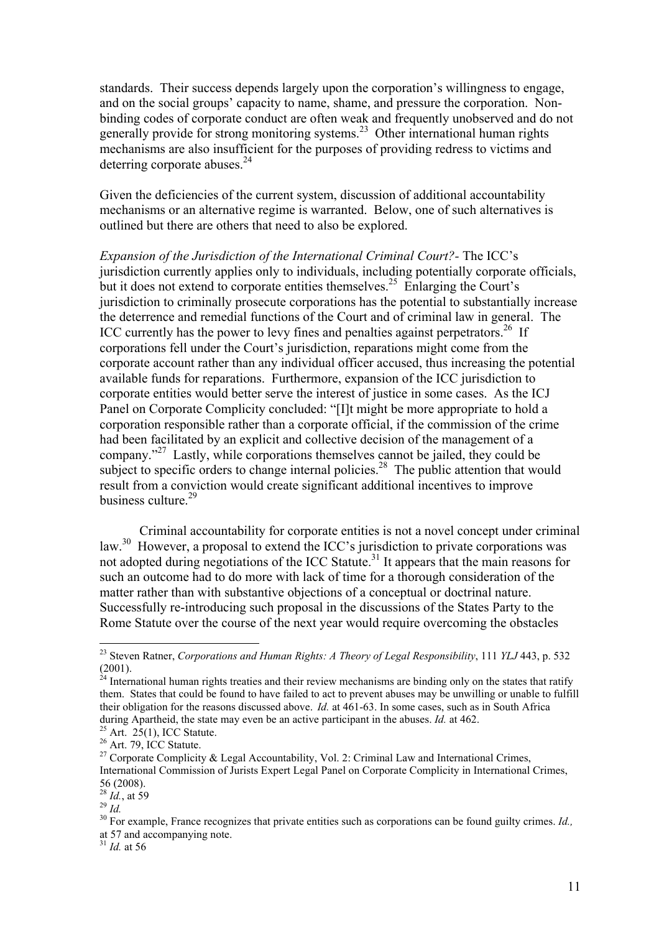standards. Their success depends largely upon the corporation's willingness to engage, and on the social groups' capacity to name, shame, and pressure the corporation. Nonbinding codes of corporate conduct are often weak and frequently unobserved and do not generally provide for strong monitoring systems. 23 Other international human rights mechanisms are also insufficient for the purposes of providing redress to victims and deterring corporate abuses. $24$ 

Given the deficiencies of the current system, discussion of additional accountability mechanisms or an alternative regime is warranted. Below, one of such alternatives is outlined but there are others that need to also be explored.

*Expansion of the Jurisdiction of the International Criminal Court?-* The ICC's jurisdiction currently applies only to individuals, including potentially corporate officials, but it does not extend to corporate entities themselves.<sup>25</sup> Enlarging the Court's jurisdiction to criminally prosecute corporations has the potential to substantially increase the deterrence and remedial functions of the Court and of criminal law in general. The ICC currently has the power to levy fines and penalties against perpetrators.<sup>26</sup> If corporations fell under the Court's jurisdiction, reparations might come from the corporate account rather than any individual officer accused, thus increasing the potential available funds for reparations. Furthermore, expansion of the ICC jurisdiction to corporate entities would better serve the interest of justice in some cases. As the ICJ Panel on Corporate Complicity concluded: "[I]t might be more appropriate to hold a corporation responsible rather than a corporate official, if the commission of the crime had been facilitated by an explicit and collective decision of the management of a company."<sup>27</sup> Lastly, while corporations themselves cannot be jailed, they could be subject to specific orders to change internal policies.<sup>28</sup> The public attention that would result from a conviction would create significant additional incentives to improve business culture.<sup>29</sup>

Criminal accountability for corporate entities is not a novel concept under criminal law.<sup>30</sup> However, a proposal to extend the ICC's jurisdiction to private corporations was not adopted during negotiations of the ICC Statute.<sup>31</sup> It appears that the main reasons for such an outcome had to do more with lack of time for a thorough consideration of the matter rather than with substantive objections of a conceptual or doctrinal nature. Successfully re-introducing such proposal in the discussions of the States Party to the Rome Statute over the course of the next year would require overcoming the obstacles

<sup>31</sup> *Id.* at 56

 <sup>23</sup> Steven Ratner, *Corporations and Human Rights: A Theory of Legal Responsibility*, 111 *YLJ* 443, p. 532 (2001).

 $^{24}$  International human rights treaties and their review mechanisms are binding only on the states that ratify them. States that could be found to have failed to act to prevent abuses may be unwilling or unable to fulfill their obligation for the reasons discussed above. *Id.* at 461-63. In some cases, such as in South Africa during Apartheid, the state may even be an active participant in the abuses. *Id.* at 462. <sup>25</sup> Art. 25(1), ICC Statute.

 $^{26}$  Art. 79, ICC Statute.

<sup>&</sup>lt;sup>27</sup> Corporate Complicity & Legal Accountability, Vol. 2: Criminal Law and International Crimes, International Commission of Jurists Expert Legal Panel on Corporate Complicity in International Crimes, 56 (2008).<br><sup>28</sup> *Id.*, at 59<br><sup>29</sup> *Id.* 

<sup>&</sup>lt;sup>30</sup> For example. France recognizes that private entities such as corporations can be found guilty crimes. *Id.*, at 57 and accompanying note.